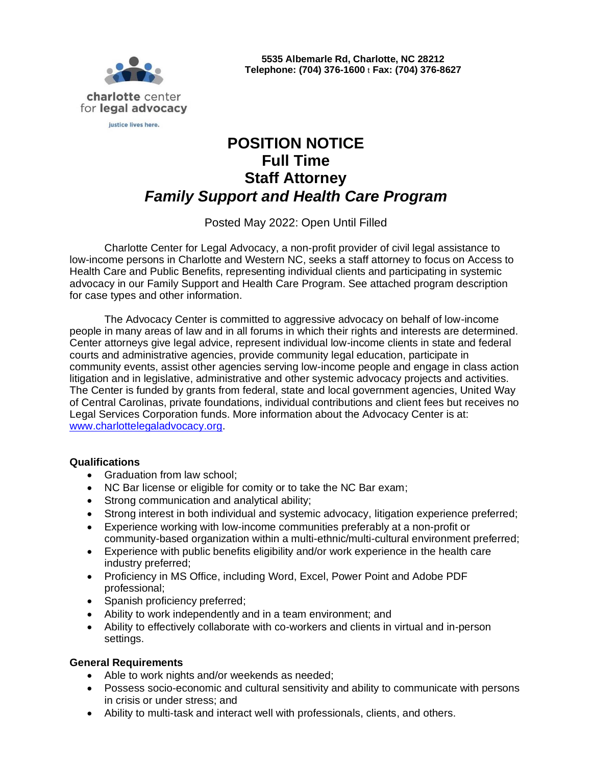

# **POSITION NOTICE Full Time Staff Attorney** *Family Support and Health Care Program*

## Posted May 2022: Open Until Filled

Charlotte Center for Legal Advocacy, a non-profit provider of civil legal assistance to low-income persons in Charlotte and Western NC, seeks a staff attorney to focus on Access to Health Care and Public Benefits, representing individual clients and participating in systemic advocacy in our Family Support and Health Care Program. See attached program description for case types and other information.

The Advocacy Center is committed to aggressive advocacy on behalf of low-income people in many areas of law and in all forums in which their rights and interests are determined. Center attorneys give legal advice, represent individual low-income clients in state and federal courts and administrative agencies, provide community legal education, participate in community events, assist other agencies serving low-income people and engage in class action litigation and in legislative, administrative and other systemic advocacy projects and activities. The Center is funded by grants from federal, state and local government agencies, United Way of Central Carolinas, private foundations, individual contributions and client fees but receives no Legal Services Corporation funds. More information about the Advocacy Center is at: [www.charlottelegaladvocacy.org.](http://www.charlottelegaladvocacy.org/)

#### **Qualifications**

- Graduation from law school;
- NC Bar license or eligible for comity or to take the NC Bar exam;
- Strong communication and analytical ability;
- Strong interest in both individual and systemic advocacy, litigation experience preferred;
- Experience working with low-income communities preferably at a non-profit or community-based organization within a multi-ethnic/multi-cultural environment preferred;
- Experience with public benefits eligibility and/or work experience in the health care industry preferred;
- Proficiency in MS Office, including Word, Excel, Power Point and Adobe PDF professional;
- Spanish proficiency preferred;
- Ability to work independently and in a team environment; and
- Ability to effectively collaborate with co-workers and clients in virtual and in-person settings.

#### **General Requirements**

- Able to work nights and/or weekends as needed;
- Possess socio-economic and cultural sensitivity and ability to communicate with persons in crisis or under stress; and
- Ability to multi-task and interact well with professionals, clients, and others.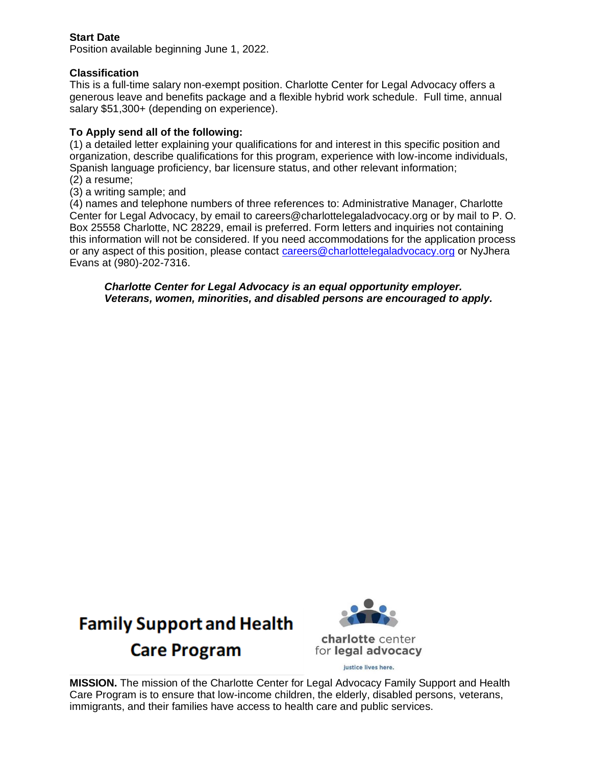### **Start Date**

Position available beginning June 1, 2022.

#### **Classification**

This is a full-time salary non-exempt position. Charlotte Center for Legal Advocacy offers a generous leave and benefits package and a flexible hybrid work schedule. Full time, annual salary \$51,300+ (depending on experience).

#### **To Apply send all of the following:**

(1) a detailed letter explaining your qualifications for and interest in this specific position and organization, describe qualifications for this program, experience with low-income individuals, Spanish language proficiency, bar licensure status, and other relevant information; (2) a resume;

(3) a writing sample; and

(4) names and telephone numbers of three references to: Administrative Manager, Charlotte Center for Legal Advocacy, by email to careers@charlottelegaladvocacy.org or by mail to P. O. Box 25558 Charlotte, NC 28229, email is preferred. Form letters and inquiries not containing this information will not be considered. If you need accommodations for the application process or any aspect of this position, please contact [careers@charlottelegaladvocacy.org](mailto:careers@charlottelegaladvocacy.org) or NvJhera Evans at (980)-202-7316.

*Charlotte Center for Legal Advocacy is an equal opportunity employer. Veterans, women, minorities, and disabled persons are encouraged to apply.*





**MISSION.** The mission of the Charlotte Center for Legal Advocacy Family Support and Health Care Program is to ensure that low-income children, the elderly, disabled persons, veterans, immigrants, and their families have access to health care and public services.